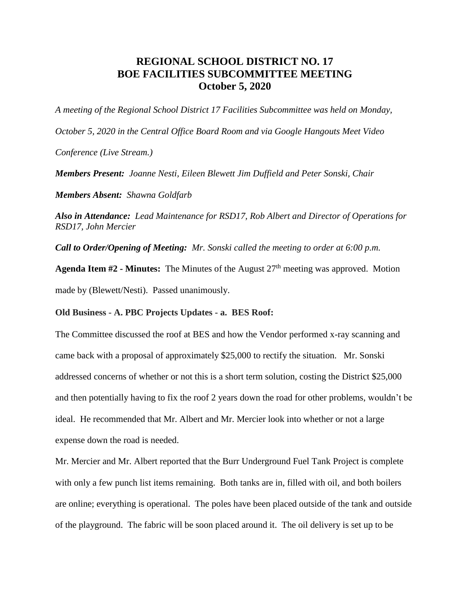## **REGIONAL SCHOOL DISTRICT NO. 17 BOE FACILITIES SUBCOMMITTEE MEETING October 5, 2020**

*A meeting of the Regional School District 17 Facilities Subcommittee was held on Monday,* 

*October 5, 2020 in the Central Office Board Room and via Google Hangouts Meet Video* 

*Conference (Live Stream.)*

*Members Present: Joanne Nesti, Eileen Blewett Jim Duffield and Peter Sonski, Chair*

*Members Absent: Shawna Goldfarb*

*Also in Attendance: Lead Maintenance for RSD17, Rob Albert and Director of Operations for RSD17, John Mercier*

*Call to Order/Opening of Meeting: Mr. Sonski called the meeting to order at 6:00 p.m.* 

**Agenda Item #2 - Minutes:** The Minutes of the August 27<sup>th</sup> meeting was approved. Motion made by (Blewett/Nesti). Passed unanimously.

**Old Business - A. PBC Projects Updates - a. BES Roof:**

The Committee discussed the roof at BES and how the Vendor performed x-ray scanning and came back with a proposal of approximately \$25,000 to rectify the situation. Mr. Sonski addressed concerns of whether or not this is a short term solution, costing the District \$25,000 and then potentially having to fix the roof 2 years down the road for other problems, wouldn't be ideal. He recommended that Mr. Albert and Mr. Mercier look into whether or not a large expense down the road is needed.

Mr. Mercier and Mr. Albert reported that the Burr Underground Fuel Tank Project is complete with only a few punch list items remaining. Both tanks are in, filled with oil, and both boilers are online; everything is operational. The poles have been placed outside of the tank and outside of the playground. The fabric will be soon placed around it. The oil delivery is set up to be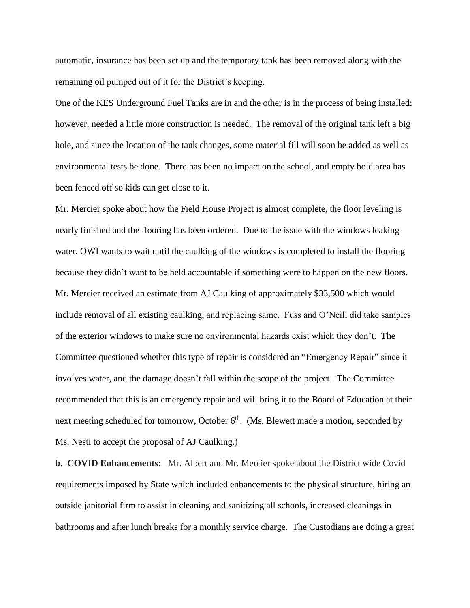automatic, insurance has been set up and the temporary tank has been removed along with the remaining oil pumped out of it for the District's keeping.

One of the KES Underground Fuel Tanks are in and the other is in the process of being installed; however, needed a little more construction is needed. The removal of the original tank left a big hole, and since the location of the tank changes, some material fill will soon be added as well as environmental tests be done. There has been no impact on the school, and empty hold area has been fenced off so kids can get close to it.

Mr. Mercier spoke about how the Field House Project is almost complete, the floor leveling is nearly finished and the flooring has been ordered. Due to the issue with the windows leaking water, OWI wants to wait until the caulking of the windows is completed to install the flooring because they didn't want to be held accountable if something were to happen on the new floors. Mr. Mercier received an estimate from AJ Caulking of approximately \$33,500 which would include removal of all existing caulking, and replacing same. Fuss and O'Neill did take samples of the exterior windows to make sure no environmental hazards exist which they don't. The Committee questioned whether this type of repair is considered an "Emergency Repair" since it involves water, and the damage doesn't fall within the scope of the project. The Committee recommended that this is an emergency repair and will bring it to the Board of Education at their next meeting scheduled for tomorrow, October 6<sup>th</sup>. (Ms. Blewett made a motion, seconded by Ms. Nesti to accept the proposal of AJ Caulking.)

**b. COVID Enhancements:** Mr. Albert and Mr. Mercier spoke about the District wide Covid requirements imposed by State which included enhancements to the physical structure, hiring an outside janitorial firm to assist in cleaning and sanitizing all schools, increased cleanings in bathrooms and after lunch breaks for a monthly service charge. The Custodians are doing a great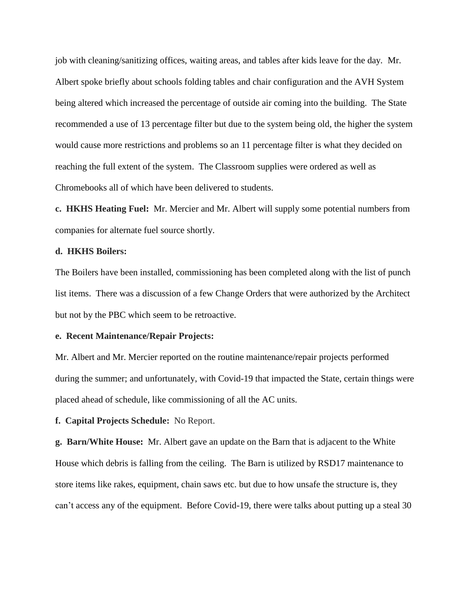job with cleaning/sanitizing offices, waiting areas, and tables after kids leave for the day. Mr. Albert spoke briefly about schools folding tables and chair configuration and the AVH System being altered which increased the percentage of outside air coming into the building. The State recommended a use of 13 percentage filter but due to the system being old, the higher the system would cause more restrictions and problems so an 11 percentage filter is what they decided on reaching the full extent of the system. The Classroom supplies were ordered as well as Chromebooks all of which have been delivered to students.

**c. HKHS Heating Fuel:** Mr. Mercier and Mr. Albert will supply some potential numbers from companies for alternate fuel source shortly.

## **d. HKHS Boilers:**

The Boilers have been installed, commissioning has been completed along with the list of punch list items. There was a discussion of a few Change Orders that were authorized by the Architect but not by the PBC which seem to be retroactive.

## **e. Recent Maintenance/Repair Projects:**

Mr. Albert and Mr. Mercier reported on the routine maintenance/repair projects performed during the summer; and unfortunately, with Covid-19 that impacted the State, certain things were placed ahead of schedule, like commissioning of all the AC units.

**f. Capital Projects Schedule:** No Report.

**g. Barn/White House:** Mr. Albert gave an update on the Barn that is adjacent to the White House which debris is falling from the ceiling. The Barn is utilized by RSD17 maintenance to store items like rakes, equipment, chain saws etc. but due to how unsafe the structure is, they can't access any of the equipment. Before Covid-19, there were talks about putting up a steal 30